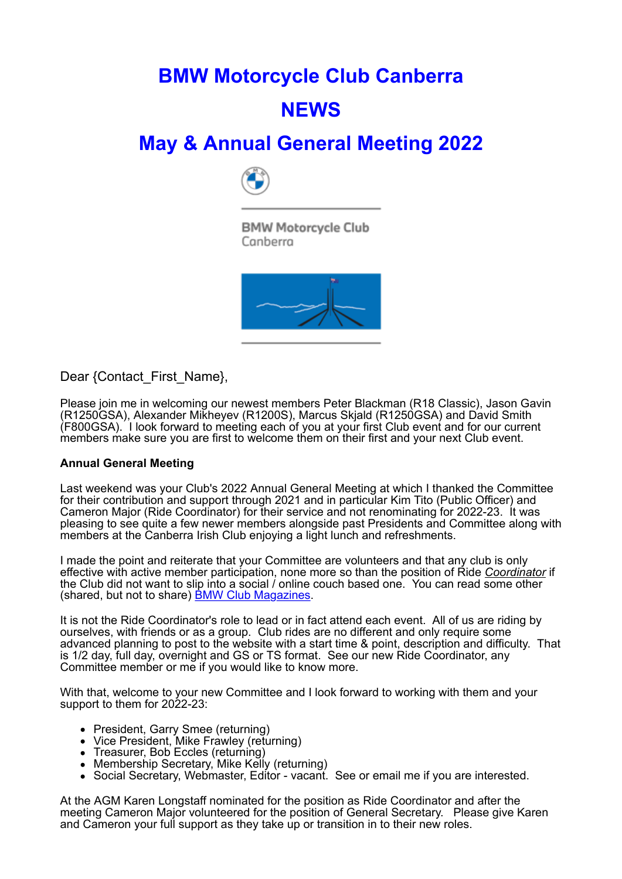# **BMW Motorcycle Club Canberra NEWS**

## **May & Annual General Meeting 2022**



**BMW Motorcycle Club** Canberra



Dear {Contact\_First\_Name},

Please join me in welcoming our newest members Peter Blackman (R18 Classic), Jason Gavin (R1250GSA), Alexander Mikheyev (R1200S), Marcus Skjald (R1250GSA) and David Smith (F800GSA). I look forward to meeting each of you at your first Club event and for our current members make sure you are first to welcome them on their first and your next Club event.

### **Annual General Meeting**

Last weekend was your Club's 2022 Annual General Meeting at which I thanked the Committee for their contribution and support through 2021 and in particular Kim Tito (Public Officer) and Cameron Major (Ride Coordinator) for their service and not renominating for 2022-23. It was pleasing to see quite a few newer members alongside past Presidents and Committee along with members at the Canberra Irish Club enjoying a light lunch and refreshments.

I made the point and reiterate that your Committee are volunteers and that any club is only effective with active member participation, none more so than the position of Ride *Coordinator* if the Club did not want to slip into a social / online couch based one. You can read some other (shared, but not to share) **BMW Club Magazines**.

It is not the Ride Coordinator's role to lead or in fact attend each event. All of us are riding by ourselves, with friends or as a group. Club rides are no different and only require some advanced planning to post to the website with a start time & point, description and difficulty. That is 1/2 day, full day, overnight and GS or TS format. See our new Ride Coordinator, any Committee member or me if you would like to know more.

With that, welcome to your new Committee and I look forward to working with them and your support to them for 2022-23:

- President, Garry Smee (returning)
- Vice President, Mike Frawley (returning)
- Treasurer, Bob Eccles (returning)
- Membership Secretary, Mike Kelly (returning)
- Social Secretary, Webmaster, Editor vacant. See or email me if you are interested.

At the AGM Karen Longstaff nominated for the position as Ride Coordinator and after the meeting Cameron Major volunteered for the position of General Secretary. Please give Karen and Cameron your full support as they take up or transition in to their new roles.